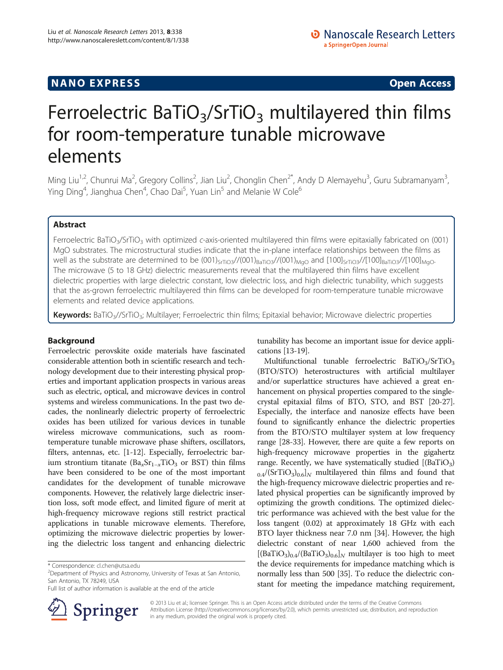## **NANO EXPRESS** Open Access **CONTROL**

# Ferroelectric BaTiO<sub>3</sub>/SrTiO<sub>3</sub> multilayered thin films for room-temperature tunable microwave elements

Ming Liu<sup>1,2</sup>, Chunrui Ma<sup>2</sup>, Gregory Collins<sup>2</sup>, Jian Liu<sup>2</sup>, Chonglin Chen<sup>2\*</sup>, Andy D Alemayehu<sup>3</sup>, Guru Subramanyam<sup>3</sup> .<br>. Ying Ding<sup>4</sup>, Jianghua Chen<sup>4</sup>, Chao Dai<sup>5</sup>, Yuan Lin<sup>5</sup> and Melanie W Cole<sup>6</sup>

## Abstract

Ferroelectric BaTiO<sub>3</sub>/SrTiO<sub>3</sub> with optimized c-axis-oriented multilayered thin films were epitaxially fabricated on (001) MgO substrates. The microstructural studies indicate that the in-plane interface relationships between the films as well as the substrate are determined to be  $(001)_{\text{SfTiO3}}/(001)_{\text{BaTiO3}}/(001)_{\text{MQO}}$  and  $[100]_{\text{SfTiO3}}/(100]_{\text{BaTiO3}}/(100)_{\text{MQO}}$ . The microwave (5 to 18 GHz) dielectric measurements reveal that the multilayered thin films have excellent dielectric properties with large dielectric constant, low dielectric loss, and high dielectric tunability, which suggests that the as-grown ferroelectric multilayered thin films can be developed for room-temperature tunable microwave elements and related device applications.

Keywords: BaTiO<sub>3</sub>//SrTiO<sub>3</sub>; Multilayer; Ferroelectric thin films; Epitaxial behavior; Microwave dielectric properties

### Background

Ferroelectric perovskite oxide materials have fascinated considerable attention both in scientific research and technology development due to their interesting physical properties and important application prospects in various areas such as electric, optical, and microwave devices in control systems and wireless communications. In the past two decades, the nonlinearly dielectric property of ferroelectric oxides has been utilized for various devices in tunable wireless microwave communications, such as roomtemperature tunable microwave phase shifters, oscillators, filters, antennas, etc. [\[1-12](#page-4-0)]. Especially, ferroelectric barium strontium titanate (Ba<sub>x</sub>Sr<sub>1−x</sub>TiO<sub>3</sub> or BST) thin films have been considered to be one of the most important candidates for the development of tunable microwave components. However, the relatively large dielectric insertion loss, soft mode effect, and limited figure of merit at high-frequency microwave regions still restrict practical applications in tunable microwave elements. Therefore, optimizing the microwave dielectric properties by lowering the dielectric loss tangent and enhancing dielectric

Full list of author information is available at the end of the article



tunability has become an important issue for device applications [[13](#page-4-0)-[19](#page-4-0)].

Multifunctional tunable ferroelectric  $BaTiO<sub>3</sub>/SrTiO<sub>3</sub>$ (BTO/STO) heterostructures with artificial multilayer and/or superlattice structures have achieved a great enhancement on physical properties compared to the singlecrystal epitaxial films of BTO, STO, and BST [[20](#page-4-0)-[27](#page-4-0)]. Especially, the interface and nanosize effects have been found to significantly enhance the dielectric properties from the BTO/STO multilayer system at low frequency range [[28](#page-4-0)-[33](#page-4-0)]. However, there are quite a few reports on high-frequency microwave properties in the gigahertz range. Recently, we have systematically studied  $[(BaTiO<sub>3</sub>)$  $0.4/(SrTiO_3)_{0.6}$  multilayered thin films and found that the high-frequency microwave dielectric properties and related physical properties can be significantly improved by optimizing the growth conditions. The optimized dielectric performance was achieved with the best value for the loss tangent (0.02) at approximately 18 GHz with each BTO layer thickness near 7.0 nm [\[34\]](#page-4-0). However, the high dielectric constant of near 1,600 achieved from the  $[(BaTiO<sub>3</sub>)<sub>0.4</sub>/(BaTiO<sub>3</sub>)<sub>0.6</sub>]$  multilayer is too high to meet the device requirements for impedance matching which is normally less than 500 [\[35](#page-4-0)]. To reduce the dielectric constant for meeting the impedance matching requirement,

© 2013 Liu et al.; licensee Springer. This is an Open Access article distributed under the terms of the Creative Commons Attribution License [\(http://creativecommons.org/licenses/by/2.0\)](http://creativecommons.org/licenses/by/2.0), which permits unrestricted use, distribution, and reproduction in any medium, provided the original work is properly cited.

<sup>\*</sup> Correspondence: [cl.chen@utsa.edu](mailto:cl.chen@utsa.edu) <sup>2</sup>

<sup>&</sup>lt;sup>2</sup>Department of Physics and Astronomy, University of Texas at San Antonio, San Antonio, TX 78249, USA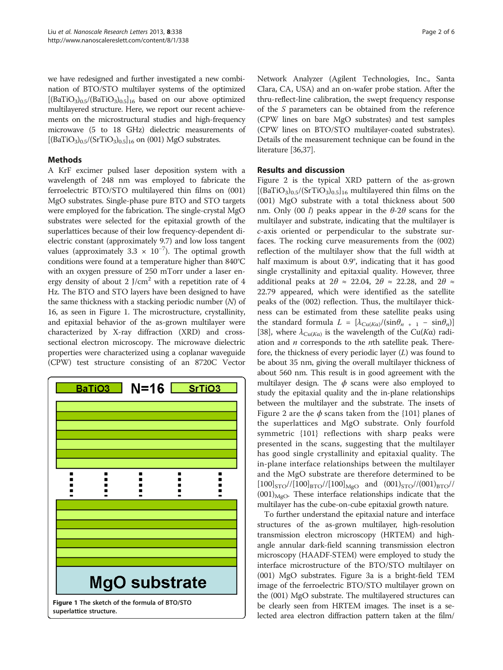we have redesigned and further investigated a new combination of BTO/STO multilayer systems of the optimized  $[(BaTiO<sub>3</sub>)<sub>0.5</sub>/(BaTiO<sub>3</sub>)<sub>0.5</sub>]<sub>16</sub>$  based on our above optimized multilayered structure. Here, we report our recent achievements on the microstructural studies and high-frequency microwave (5 to 18 GHz) dielectric measurements of  $[(BaTiO<sub>3</sub>)<sub>0.5</sub>/(SrTiO<sub>3</sub>)<sub>0.5</sub>]$ <sub>16</sub> on (001) MgO substrates.

## Methods

A KrF excimer pulsed laser deposition system with a wavelength of 248 nm was employed to fabricate the ferroelectric BTO/STO multilayered thin films on (001) MgO substrates. Single-phase pure BTO and STO targets were employed for the fabrication. The single-crystal MgO substrates were selected for the epitaxial growth of the superlattices because of their low frequency-dependent dielectric constant (approximately 9.7) and low loss tangent values (approximately 3.3  $\times$  10<sup>-7</sup>). The optimal growth conditions were found at a temperature higher than 840°C with an oxygen pressure of 250 mTorr under a laser energy density of about 2  $J/cm<sup>2</sup>$  with a repetition rate of 4 Hz. The BTO and STO layers have been designed to have the same thickness with a stacking periodic number  $(N)$  of 16, as seen in Figure 1. The microstructure, crystallinity, and epitaxial behavior of the as-grown multilayer were characterized by X-ray diffraction (XRD) and crosssectional electron microscopy. The microwave dielectric properties were characterized using a coplanar waveguide (CPW) test structure consisting of an 8720C Vector



Network Analyzer (Agilent Technologies, Inc., Santa Clara, CA, USA) and an on-wafer probe station. After the thru-reflect-line calibration, the swept frequency response of the S parameters can be obtained from the reference (CPW lines on bare MgO substrates) and test samples (CPW lines on BTO/STO multilayer-coated substrates). Details of the measurement technique can be found in the literature [[36,37](#page-5-0)].

## Results and discussion

Figure [2](#page-2-0) is the typical XRD pattern of the as-grown  $[(BaTiO<sub>3</sub>)<sub>0.5</sub>/(SrTiO<sub>3</sub>)<sub>0.5</sub>]<sub>16</sub>$  multilayered thin films on the (001) MgO substrate with a total thickness about 500 nm. Only (00 l) peaks appear in the  $\theta$ -2 $\theta$  scans for the multilayer and substrate, indicating that the multilayer is c-axis oriented or perpendicular to the substrate surfaces. The rocking curve measurements from the (002) reflection of the multilayer show that the full width at half maximum is about 0.9°, indicating that it has good single crystallinity and epitaxial quality. However, three additional peaks at  $2\theta \approx 22.04$ ,  $2\theta \approx 22.28$ , and  $2\theta \approx$ 22.79 appeared, which were identified as the satellite peaks of the (002) reflection. Thus, the multilayer thickness can be estimated from these satellite peaks using the standard formula  $L = [\lambda_{\text{Cu}(K\alpha)}/(\sin\theta_{n+1} - \sin\theta_n)]$ [[38\]](#page-5-0), where  $\lambda_{\text{Cu}(K\alpha)}$  is the wavelength of the Cu(K $\alpha$ ) radiation and  $n$  corresponds to the  $n$ th satellite peak. Therefore, the thickness of every periodic layer  $(L)$  was found to be about 35 nm, giving the overall multilayer thickness of about 560 nm. This result is in good agreement with the multilayer design. The  $\phi$  scans were also employed to study the epitaxial quality and the in-plane relationships between the multilayer and the substrate. The insets of Figure [2](#page-2-0) are the  $\phi$  scans taken from the {101} planes of the superlattices and MgO substrate. Only fourfold symmetric {101} reflections with sharp peaks were presented in the scans, suggesting that the multilayer has good single crystallinity and epitaxial quality. The in-plane interface relationships between the multilayer and the MgO substrate are therefore determined to be  $[100]_{STO}$ // $[100]_{BTO}$ // $[100]_{MgO}$  and  $(001)_{STO}$ // $(001)_{BTO}$ //  $(001)_{\text{MeO}}$ . These interface relationships indicate that the multilayer has the cube-on-cube epitaxial growth nature.

To further understand the epitaxial nature and interface structures of the as-grown multilayer, high-resolution transmission electron microscopy (HRTEM) and highangle annular dark-field scanning transmission electron microscopy (HAADF-STEM) were employed to study the interface microstructure of the BTO/STO multilayer on (001) MgO substrates. Figure [3](#page-2-0)a is a bright-field TEM image of the ferroelectric BTO/STO multilayer grown on the (001) MgO substrate. The multilayered structures can be clearly seen from HRTEM images. The inset is a selected area electron diffraction pattern taken at the film/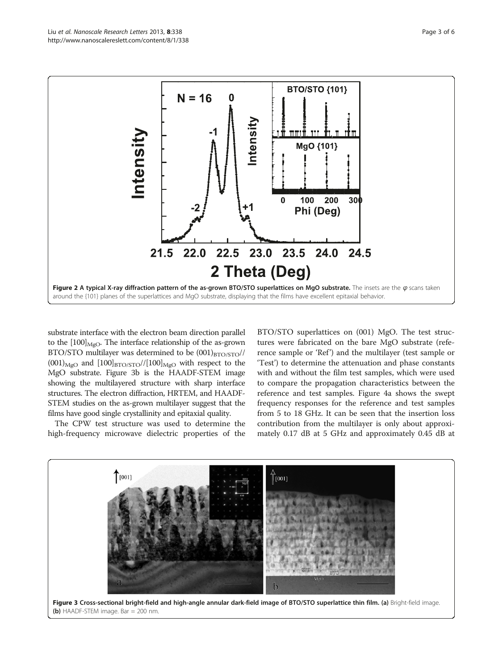<span id="page-2-0"></span>

substrate interface with the electron beam direction parallel to the  $[100]_{\text{MeO}}$ . The interface relationship of the as-grown BTO/STO multilayer was determined to be  $(001)_{\text{BTO/STO}}/$  $(001)_{\text{MgO}}$  and  $[100]_{\text{BTO/STO}}/([100]_{\text{MgO}}$  with respect to the MgO substrate. Figure 3b is the HAADF-STEM image showing the multilayered structure with sharp interface structures. The electron diffraction, HRTEM, and HAADF-STEM studies on the as-grown multilayer suggest that the films have good single crystallinity and epitaxial quality.

The CPW test structure was used to determine the high-frequency microwave dielectric properties of the BTO/STO superlattices on (001) MgO. The test structures were fabricated on the bare MgO substrate (reference sample or 'Ref') and the multilayer (test sample or 'Test') to determine the attenuation and phase constants with and without the film test samples, which were used to compare the propagation characteristics between the reference and test samples. Figure [4](#page-3-0)a shows the swept frequency responses for the reference and test samples from 5 to 18 GHz. It can be seen that the insertion loss contribution from the multilayer is only about approximately 0.17 dB at 5 GHz and approximately 0.45 dB at

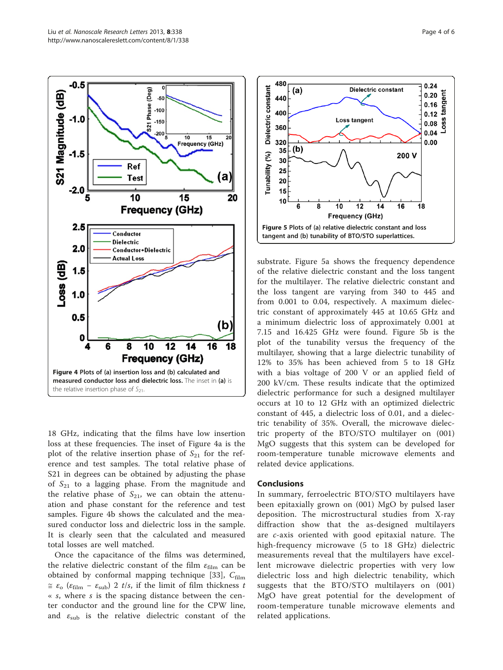<span id="page-3-0"></span>

18 GHz, indicating that the films have low insertion loss at these frequencies. The inset of Figure 4a is the plot of the relative insertion phase of  $S_{21}$  for the reference and test samples. The total relative phase of S21 in degrees can be obtained by adjusting the phase of  $S_{21}$  to a lagging phase. From the magnitude and the relative phase of  $S_{21}$ , we can obtain the attenuation and phase constant for the reference and test samples. Figure 4b shows the calculated and the measured conductor loss and dielectric loss in the sample. It is clearly seen that the calculated and measured total losses are well matched.

Once the capacitance of the films was determined, the relative dielectric constant of the film  $\varepsilon$ <sub>film</sub> can be obtained by conformal mapping technique [\[33](#page-4-0)],  $C_{\text{film}}$  $\approx \varepsilon_0$  ( $\varepsilon_{\text{film}} - \varepsilon_{\text{sub}}$ ) 2 t/s, if the limit of film thickness t  $\kappa$  s, where s is the spacing distance between the center conductor and the ground line for the CPW line, and  $\varepsilon_{\rm sub}$  is the relative dielectric constant of the



substrate. Figure 5a shows the frequency dependence of the relative dielectric constant and the loss tangent for the multilayer. The relative dielectric constant and the loss tangent are varying from 340 to 445 and from 0.001 to 0.04, respectively. A maximum dielectric constant of approximately 445 at 10.65 GHz and a minimum dielectric loss of approximately 0.001 at 7.15 and 16.425 GHz were found. Figure 5b is the plot of the tunability versus the frequency of the multilayer, showing that a large dielectric tunability of 12% to 35% has been achieved from 5 to 18 GHz with a bias voltage of 200 V or an applied field of 200 kV/cm. These results indicate that the optimized dielectric performance for such a designed multilayer occurs at 10 to 12 GHz with an optimized dielectric constant of 445, a dielectric loss of 0.01, and a dielectric tenability of 35%. Overall, the microwave dielectric property of the BTO/STO multilayer on (001) MgO suggests that this system can be developed for room-temperature tunable microwave elements and related device applications.

#### **Conclusions**

In summary, ferroelectric BTO/STO multilayers have been epitaxially grown on (001) MgO by pulsed laser deposition. The microstructural studies from X-ray diffraction show that the as-designed multilayers are c-axis oriented with good epitaxial nature. The high-frequency microwave (5 to 18 GHz) dielectric measurements reveal that the multilayers have excellent microwave dielectric properties with very low dielectric loss and high dielectric tenability, which suggests that the BTO/STO multilayers on (001) MgO have great potential for the development of room-temperature tunable microwave elements and related applications.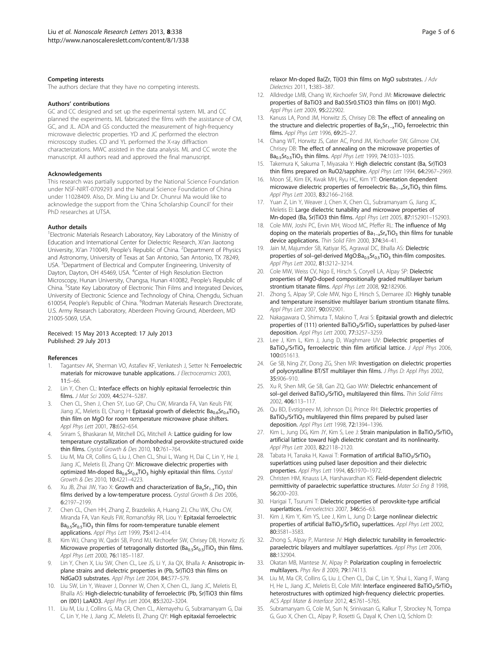#### <span id="page-4-0"></span>Competing interests

The authors declare that they have no competing interests.

#### Authors' contributions

GC and CC designed and set up the experimental system. ML and CC planned the experiments. ML fabricated the films with the assistance of CM, GC, and JL. ADA and GS conducted the measurement of high-frequency microwave dielectric properties. YD and JC performed the electron microscopy studies. CD and YL performed the X-ray diffraction characterizations. MWC assisted in the data analysis. ML and CC wrote the manuscript. All authors read and approved the final manuscript.

#### Acknowledgements

This research was partially supported by the National Science Foundation under NSF-NIRT-0709293 and the Natural Science Foundation of China under 11028409. Also, Dr. Ming Liu and Dr. Chunrui Ma would like to acknowledge the support from the 'China Scholarship Council' for their PhD researches at UTSA.

#### Author details

<sup>1</sup> Electronic Materials Research Laboratory, Key Laboratory of the Ministry of Education and International Center for Dielectric Research, Xi'an Jiaotong University, Xi'an 710049, People's Republic of China. <sup>2</sup>Department of Physics and Astronomy, University of Texas at San Antonio, San Antonio, TX 78249, USA. <sup>3</sup>Department of Electrical and Computer Engineering, University of Dayton, Dayton, OH 45469, USA. <sup>4</sup>Center of High Resolution Electron Microscopy, Hunan University, Changsa, Hunan 410082, People's Republic of China. <sup>5</sup>State Key Laboratory of Electronic Thin Films and Integrated Devices, University of Electronic Science and Technology of China, Chengdu, Sichuan 610054, People's Republic of China. <sup>6</sup>Rodman Materials Research Directorate, U.S. Army Research Laboratory, Aberdeen Proving Ground, Aberdeen, MD 21005-5069, USA.

#### Received: 15 May 2013 Accepted: 17 July 2013 Published: 29 July 2013

#### References

- Tagantsev AK, Sherman VO, Astafiev KF, Venkatesh J, Setter N: Ferroelectric materials for microwave tunable applications. *J Electroceramics* 2003, 11:5–66.
- Lin Y, Chen CL: Interface effects on highly epitaxial ferroelectric thin films. J Mat Sci 2009, 44:5274–5287.
- 3. Chen CL, Shen J, Chen SY, Luo GP, Chu CW, Miranda FA, Van Keuls FW, Jiang JC, Meletis EI, Chang H: Epitaxial growth of dielectric  $Ba_{0.6}Sr_{0.4}TiO<sub>3</sub>$ thin film on MgO for room temperature microwave phase shifters. Appl Phys Lett 2001, 78:652–654.
- 4. Sriram S, Bhaskaran M, Mitchell DG, Mitchell A: Lattice quiding for low temperature crystallization of rhombohedral perovskite-structured oxide thin films. Crystal Growth & Des 2010, 10:761–764.
- 5. Liu M, Ma CR, Collins G, Liu J, Chen CL, Shui L, Wang H, Dai C, Lin Y, He J, Jiang JC, Meletis EI, Zhang QY: Microwave dielectric properties with optimized Mn-doped  $Ba_{0.6}Sr_{0.4}TiO_3$  highly epitaxial thin films. Crystal Growth & Des 2010, 10:4221–4223.
- Xu JB, Zhai JW, Yao X: Growth and characterization of  $Ba_xSr_{1-x}TiO_3$  thin films derived by a low-temperature process. Crystal Growth & Des 2006, 6:2197–2199.
- 7. Chen CL, Chen HH, Zhang Z, Brazdeikis A, Huang ZJ, Chu WK, Chu CW, Miranda FA, Van Keuls FW, Romanofsky RR, Liou Y: Epitaxial ferroelectric  $Ba<sub>0.5</sub>Sr<sub>0.5</sub>TiO<sub>3</sub>$  thin films for room-temperature tunable element applications. Appl Phys Lett 1999, 75:412–414.
- Kim WJ, Chang W, Qadri SB, Pond MJ, Kirchoefer SW, Chrisey DB, Horwitz JS: Microwave properties of tetragonally distorted ( $Ba<sub>0.5</sub>Sr<sub>0.5</sub>$ )TiO<sub>3</sub> thin films. Appl Phys Lett 2000, 76:1185–1187.
- 9. Lin Y, Chen X, Liu SW, Chen CL, Lee JS, Li Y, Jia QX, Bhalla A: Anisotropic inplane strains and dielectric properties in (Pb, Sr)TiO3 thin films on NdGaO3 substrates. Appl Phys Lett 2004, 84:577–579.
- 10. Liu SW, Lin Y, Weaver J, Donner W, Chen X, Chen CL, Jiang JC, Meletis EI, Bhalla AS: High-dielectric-tunability of ferroelectric (Pb, Sr)TiO3 thin films on (001) LaAlO3. Appl Phys Lett 2004, 85:3202–3204.
- 11. Liu M, Liu J, Collins G, Ma CR, Chen CL, Alemayehu G, Subramanyam G, Dai C, Lin Y, He J, Jiang JC, Meletis EI, Zhang QY: High epitaxial ferroelectric

relaxor Mn-doped Ba(Zr, Ti)O3 thin films on MgO substrates. J Adv Dielectrics 2011, 1:383–387.

- 12. Alldredge LMB, Chang W, Kirchoefer SW, Pond JM: Microwave dielectric properties of BaTiO3 and Ba0.5Sr0.5TiO3 thin films on (001) MgO. Appl Phys Lett 2009, 95:222902.
- 13. Kanuss LA, Pond JM, Horwitz JS, Chrisey DB: The effect of annealing on the structure and dielectric properties of Ba<sub>x</sub>Sr<sub>1−x</sub>TiO<sub>3</sub> ferroelectric thin films. Appl Phys Lett 1996, 69:25–27.
- 14. Chang WT, Horwitz JS, Cater AC, Pond JM, Kirchoefer SW, Gilmore CM, Chrisey DB: The effect of annealing on the microwave properties of Ba<sub>0.5</sub>Sr<sub>0.5</sub>TiO<sub>3</sub> thin films. Appl Phys Lett 1999, 74:1033-1035.
- 15. Takemura K, Sakuma T, Miyasaka Y: High dielectric constant (Ba, Sr)TiO3 thin films prepared on RuO2/sapphire. Appl Phys Lett 1994, 64:2967–2969.
- 16. Moon SE, Kim EK, Kwak MH, Ryu HC, Kim YT: Orientation dependent microwave dielectric properties of ferroelectric Ba<sub>1−x</sub>Sr<sub>x</sub>TiO<sub>3</sub> thin films. Appl Phys Lett 2003, 83:2166–2168.
- 17. Yuan Z, Lin Y, Weaver J, Chen X, Chen CL, Subramanyam G, Jiang JC, Meletis EI: Large dielectric tunability and microwave properties of Mn-doped (Ba, Sr)TiO3 thin films. Appl Phys Lett 2005, 87:152901–152903.
- 18. Cole MW, Joshi PC, Ervin MH, Wood MC, Pfeffer RL: The influence of Mg doping on the materials properties of Ba<sub>1−x</sub>Sr<sub>x</sub>TiO<sub>3</sub> thin films for tunable device applications. Thin Solid Film 2000, 374:34–41.
- 19. Jain M, Majumder SB, Katiyar RS, Agrawal DC, Bhalla AS: Dielectric properties of sol-gel-derived  $MgO:Ba_{0.5}Sr_{0.5}TiO_3$  thin-film composites. Appl Phys Lett 2002, 81:3212–3214.
- 20. Cole MW, Weiss CV, Ngo E, Hirsch S, Coryell LA, Alpay SP: Dielectric properties of MgO-doped compositionally graded multilayer barium strontium titanate films. Appl Phys Lett 2008, 92:182906.
- 21. Zhong S, Alpay SP, Cole MW, Ngo E, Hirsch S, Demaree JD: Highly tunable and temperature insensitive multilayer barium strontium titanate films. Appl Phys Lett 2007, 90:092901.
- 22. Nakagawara O, Shimuta T, Makino T, Arai S: Epitaxial growth and dielectric properties of (111) oriented BaTiO<sub>3</sub>/SrTiO<sub>3</sub> superlattices by pulsed-laser deposition. Appl Phys Lett 2000, 77:3257–3259.
- 23. Lee J, Kim L, Kim J, Jung D, Waghmare UV: Dielectric properties of BaTiO<sub>3</sub>/SrTiO<sub>3</sub> ferroelectric thin film artificial lattice. J Appl Phys 2006, 100:051613.
- 24. Ge SB, Ning ZY, Dong ZG, Shen MR: Investigation on dielectric properties of polycrystalline BT/ST multilayer thin films. J Phys D: Appl Phys 2002, 35:906–910.
- 25. Xu R, Shen MR, Ge SB, Gan ZQ, Gao WW: Dielectric enhancement of sol-gel derived BaTiO<sub>3</sub>/SrTiO<sub>3</sub> multilayered thin films. Thin Solid Films 2002, 406:113–117.
- 26. Qu BD, Evstigneev M, Johnson DJ, Prince RH: Dielectric properties of  $BaTiO<sub>3</sub>/SrTiO<sub>3</sub>$  multilayered thin films prepared by pulsed laser deposition. Appl Phys Lett 1998, 72:1394–1396.
- 27. Kim L, Jung DG, Kim JY, Kim S, Lee J: Strain manipulation in BaTiO<sub>3</sub>/SrTiO<sub>3</sub> artificial lattice toward high dielectric constant and its nonlinearity. Appl Phys Lett 2003, 82:2118–2120.
- 28. Tabata H, Tanaka H, Kawai T: Formation of artificial BaTiO<sub>3</sub>/SrTiO<sub>3</sub> superlattices using pulsed laser deposition and their dielectric properties. Appl Phys Lett 1994, 65:1970–1972.
- 29. Christen HM, Knauss LA, Harshavardhan KS: Field-dependent dielectric permittivity of paraelectric superlattice structures. Mater Sci Eng B 1998, 56:200–203.
- 30. Harigai T, Tsurumi T: Dielectric properties of perovskite-type artificial superlattices. Ferroelectrics 2007, 346:56-63.
- 31. Kim J, Kim Y, Kim YS, Lee J, Kim L, Jung D: Large nonlinear dielectric properties of artificial BaTiO<sub>3</sub>/SrTiO<sub>3</sub> superlattices. Appl Phys Lett 2002, 80:3581–3583.
- 32. Zhong S, Alpay P, Mantese JV: High dielectric tunability in ferroelectricparaelectric bilayers and multilayer superlattices. Appl Phys Lett 2006, 88:132904.
- 33. Okatan MB, Mantese JV, Alpay P: Polarization coupling in ferroelectric multilayers. Phys Rev B 2009, 79:174113.
- 34. Liu M, Ma CR, Collins G, Liu J, Chen CL, Dai C, Lin Y, Shui L, Xiang F, Wang H, He L, Jiang JC, Meletis EL Cole MW: Interface engineered BaTiO<sub>2</sub>/SrTiO<sub>2</sub> heterostructures with optimized high-frequency dielectric properties. ACS Appl Mater & Interface 2012, 4:5761–5765.
- 35. Subramanyam G, Cole M, Sun N, Srinivasan G, Kalkur T, Sbrockey N, Tompa G, Guo X, Chen CL, Alpay P, Rosetti G, Dayal K, Chen LQ, Schlom D: